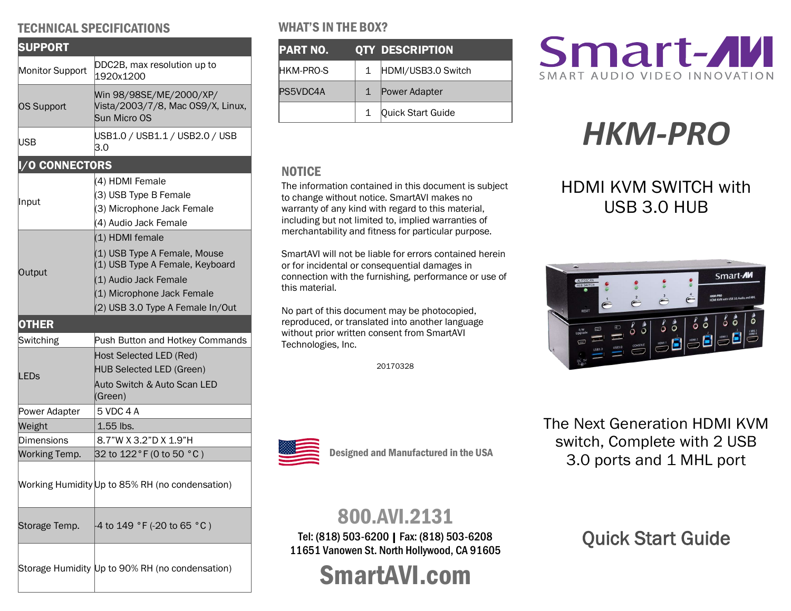## TECHNICAL SPECIFICATIONS

| <b>SUPPORT</b>        |                                                                                                                                                                               |  |  |
|-----------------------|-------------------------------------------------------------------------------------------------------------------------------------------------------------------------------|--|--|
| Monitor Support       | DDC2B, max resolution up to<br>1920x1200                                                                                                                                      |  |  |
| <b>OS Support</b>     | Win 98/98SE/ME/2000/XP/<br>Vista/2003/7/8, Mac OS9/X, Linux,<br>Sun Micro OS                                                                                                  |  |  |
| USB                   | USB1.0 / USB1.1 / USB2.0 / USB<br>3.0                                                                                                                                         |  |  |
| <b>I/O CONNECTORS</b> |                                                                                                                                                                               |  |  |
| ∥nput                 | (4) HDMI Female<br>(3) USB Type B Female<br>(3) Microphone Jack Female<br>(4) Audio Jack Female                                                                               |  |  |
| Output                | (1) HDMI female<br>(1) USB Type A Female, Mouse<br>(1) USB Type A Female, Keyboard<br>(1) Audio Jack Female<br>(1) Microphone Jack Female<br>(2) USB 3.0 Type A Female In/Out |  |  |
| <b>OTHER</b>          |                                                                                                                                                                               |  |  |
| Switching             | Push Button and Hotkey Commands                                                                                                                                               |  |  |
| LED <sub>S</sub>      | Host Selected LED (Red)<br><b>HUB Selected LED (Green)</b><br><b>Auto Switch &amp; Auto Scan LED</b><br>(Green)                                                               |  |  |
| Power Adapter         | 5 VDC 4 A                                                                                                                                                                     |  |  |
| Weight                | $1.55$ lbs.                                                                                                                                                                   |  |  |
| Dimensions            | 8.7"W X 3.2"D X 1.9"H                                                                                                                                                         |  |  |
| Working Temp.         | 32 to 122 °F (0 to 50 °C)                                                                                                                                                     |  |  |
|                       | Working Humidity Up to 85% RH (no condensation)                                                                                                                               |  |  |
| Storage Temp.         | -4 to 149 °F (-20 to 65 °C)                                                                                                                                                   |  |  |
|                       | Storage Humidity Up to 90% RH (no condensation)                                                                                                                               |  |  |

## WHAT'S IN THE BOX?

| PART NO.  |              | <b>QTY_DESCRIPTION</b> |
|-----------|--------------|------------------------|
| HKM-PRO-S | $\mathbf{1}$ | HDMI/USB3.0 Switch     |
| PS5VDC4A  |              | Power Adapter          |
|           | 1            | Quick Start Guide      |

## **NOTICE**

The information contained in this document is subject to change without notice. SmartAVI makes no warranty of any kind with regard to this material, including but not limited to, implied warranties of merchantability and fitness for particular purpose.

SmartAVI will not be liable for errors contained herein or for incidental or consequential damages in connection with the furnishing, performance or use of this material.

No part of this document may be photocopied, reproduced, or translated into another language without prior written consent from SmartAVI Technologies, Inc.

20170328



# *HKM-PRO*

## HDMI KVM SWITCH with USB 3.0 HUB



The Next Generation HDMI KVM switch, Complete with 2 USB 3.0 ports and 1 MHL port

## 800.AVI.2131

Designed and Manufactured in the USA

Tel: (818) 503-6200 | Fax: (818) 503-6208 11651 Vanowen St. North Hollywood, CA 91605

SmartAVI.com

Quick Start Guide